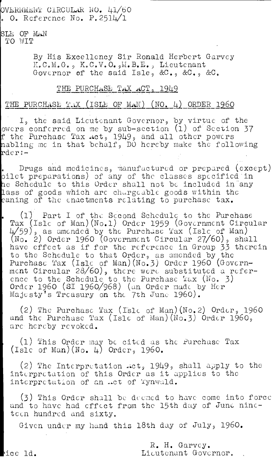OVERNMENT CIRCULAR 1W. 41/60 O. Reference No. P.2514/1

 $SLE$  OF MAN TO WIT

> By His Excellency Sir Ronald Herbert Garvey  $K_{\bullet}C_{\bullet}M_{\bullet}G_{\bullet}$ ,  $K_{\bullet}C_{\bullet}V_{\bullet}O_{\bullet}$   $\mathbb{N}_{\bullet}B_{\bullet}E_{\bullet}$ , Lieutenant Governor of the said Isle,  $\&C_{\bullet}$ ,  $\&C_{\bullet}$ ,  $\&C_{\bullet}$

## THE PURCHASE TAX ACT. 1949

## THE PURCHASE T.X (ISLE OF MAN) (NO. 4) ORDER 1960

I, the said Licutenant Governor, by virtue of the owcrs conferred on me by sub-section (1) of Section 37 f the Purchase Tax  $\texttt{act}$ , 1949, and all other powers abling me in that behalf, DO hereby make the following  $r$ der:-

Drugs and medicines, manufactured or prepared (except) oilet preparations) of any of the classes specified in he Schedulc to this Order shall not be included in any lass of goods which arc chargeable goods within the eaning of the enactments relating to purchase tax.

(1) Part I of the Second Schedule to the Purchase Tax (Isle of Man)(No.l) Order 1959 (Government Circular  $4/59$ ), as amended by the Purchase Tax (Isle of Man)  $(N_0. 2)$  Order 1960 (Government Circular 27/60), shall have effect as if for the reference in Group 33 therein to the Schedule to that Order, as amended by the Purchase Tax (Isle of Man)(No.3) Order 1960 (Government Circular  $28/60$ , there were substituted a reference to the Schedule to the Purchase Tax (No. 3) Order 1960 (SI 1960/968) (an Order made by Her Majesty's Treasury on the 7th June 1960).

(2) The Purchase Tax (Isle of Man)(No.2) Order, 1960 and the Purchase Tax (Isle of Man)  $(\bar{N}o.3)$  Order 1960, are hereby revoked.

(1) This Order may be cited as the Purchase Tax (Isle of Man)( $N_0$ . 4) Order, 1960.

(2) The Interpretation  $\kappa$ t, 1949, shall apply to the interpretation of this Order as it applies to the interpretation of an .et of Tynwald.

(3) This Order shall be deemed to have come into force and to have had effect from the 15th day of June nineteen hundred and sixty.

Given under my hand this 18th day of  $July<sub>9</sub>1960.$ 

R. H. Garvey. ice 1d. the Lieutenant Governor.